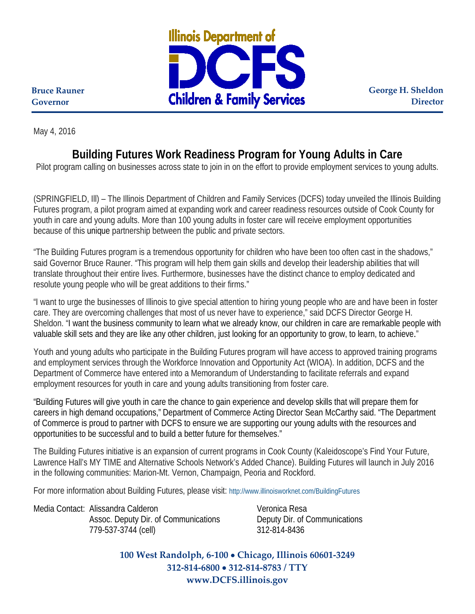

**George H. Sheldon Director**

**Bruce Rauner Governor**

May 4, 2016

## **Building Futures Work Readiness Program for Young Adults in Care**

Pilot program calling on businesses across state to join in on the effort to provide employment services to young adults.

(SPRINGFIELD, Ill) – The Illinois Department of Children and Family Services (DCFS) today unveiled the Illinois Building Futures program, a pilot program aimed at expanding work and career readiness resources outside of Cook County for youth in care and young adults. More than 100 young adults in foster care will receive employment opportunities because of this unique partnership between the public and private sectors.

"The Building Futures program is a tremendous opportunity for children who have been too often cast in the shadows," said Governor Bruce Rauner. "This program will help them gain skills and develop their leadership abilities that will translate throughout their entire lives. Furthermore, businesses have the distinct chance to employ dedicated and resolute young people who will be great additions to their firms."

"I want to urge the businesses of Illinois to give special attention to hiring young people who are and have been in foster care. They are overcoming challenges that most of us never have to experience," said DCFS Director George H. Sheldon. "I want the business community to learn what we already know, our children in care are remarkable people with valuable skill sets and they are like any other children, just looking for an opportunity to grow, to learn, to achieve."

Youth and young adults who participate in the Building Futures program will have access to approved training programs and employment services through the Workforce Innovation and Opportunity Act (WIOA). In addition, DCFS and the Department of Commerce have entered into a Memorandum of Understanding to facilitate referrals and expand employment resources for youth in care and young adults transitioning from foster care.

"Building Futures will give youth in care the chance to gain experience and develop skills that will prepare them for careers in high demand occupations," Department of Commerce Acting Director Sean McCarthy said. "The Department of Commerce is proud to partner with DCFS to ensure we are supporting our young adults with the resources and opportunities to be successful and to build a better future for themselves."

The Building Futures initiative is an expansion of current programs in Cook County (Kaleidoscope's Find Your Future, Lawrence Hall's MY TIME and Alternative Schools Network's Added Chance). Building Futures will launch in July 2016 in the following communities: Marion-Mt. Vernon, Champaign, Peoria and Rockford.

For more information about Building Futures, please visit:<http://www.illinoisworknet.com/BuildingFutures>

Media Contact: Alissandra Calderon Veronica Resa

Assoc. Deputy Dir. of Communications Deputy Dir. of Communications 779-537-3744 (cell) 312-814-8436

**100 West Randolph, 6-100** • **Chicago, Illinois 60601-3249 312-814-6800** • **312-814-8783 / TTY www.DCFS.illinois.gov**